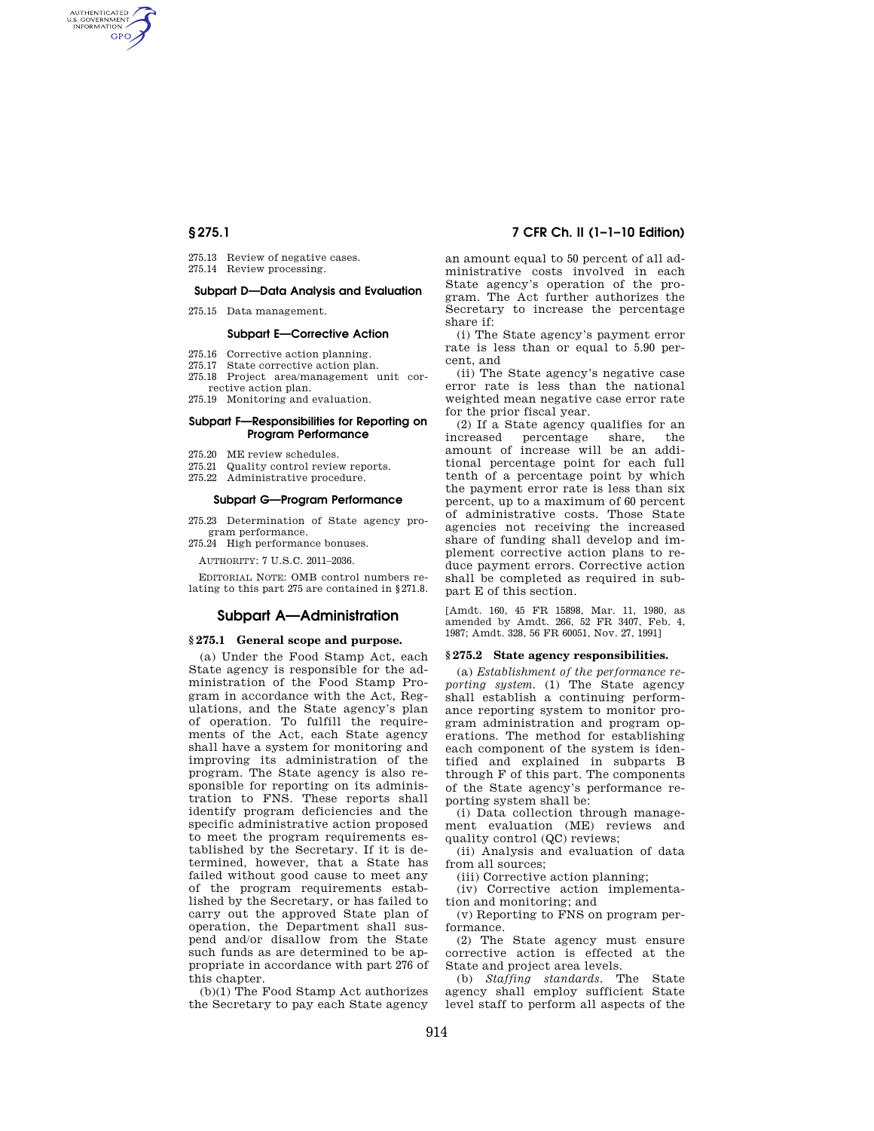AUTHENTICATED<br>U.S. GOVERNMENT<br>INFORMATION **GPO** 

- 275.13 Review of negative cases.
- 275.14 Review processing.

# **Subpart D—Data Analysis and Evaluation**

275.15 Data management.

#### **Subpart E—Corrective Action**

- 275.16 Corrective action planning.
- 275.17 State corrective action plan.
- 275.18 Project area/management unit corrective action plan.
- 275.19 Monitoring and evaluation.

### **Subpart F—Responsibilities for Reporting on Program Performance**

- 275.20 ME review schedules.
- 275.21 Quality control review reports.
- 275.22 Administrative procedure.

## **Subpart G—Program Performance**

275.23 Determination of State agency program performance.

275.24 High performance bonuses.

AUTHORITY: 7 U.S.C. 2011–2036.

EDITORIAL NOTE: OMB control numbers relating to this part 275 are contained in §271.8.

#### **Subpart A—Administration**

#### **§ 275.1 General scope and purpose.**

(a) Under the Food Stamp Act, each State agency is responsible for the administration of the Food Stamp Program in accordance with the Act, Regulations, and the State agency's plan of operation. To fulfill the requirements of the Act, each State agency shall have a system for monitoring and improving its administration of the program. The State agency is also responsible for reporting on its administration to FNS. These reports shall identify program deficiencies and the specific administrative action proposed to meet the program requirements established by the Secretary. If it is determined, however, that a State has failed without good cause to meet any of the program requirements established by the Secretary, or has failed to carry out the approved State plan of operation, the Department shall suspend and/or disallow from the State such funds as are determined to be appropriate in accordance with part 276 of this chapter.

(b)(1) The Food Stamp Act authorizes the Secretary to pay each State agency

## **§ 275.1 7 CFR Ch. II (1–1–10 Edition)**

an amount equal to 50 percent of all administrative costs involved in each State agency's operation of the program. The Act further authorizes the Secretary to increase the percentage share if:

(i) The State agency's payment error rate is less than or equal to 5.90 percent, and

(ii) The State agency's negative case error rate is less than the national weighted mean negative case error rate for the prior fiscal year.

(2) If a State agency qualifies for an increased percentage share, the amount of increase will be an additional percentage point for each full tenth of a percentage point by which the payment error rate is less than six percent, up to a maximum of 60 percent of administrative costs. Those State agencies not receiving the increased share of funding shall develop and implement corrective action plans to reduce payment errors. Corrective action shall be completed as required in subpart E of this section.

[Amdt. 160, 45 FR 15898, Mar. 11, 1980, as amended by Amdt. 266, 52 FR 3407, Feb. 4, 1987; Amdt. 328, 56 FR 60051, Nov. 27, 1991]

#### **§ 275.2 State agency responsibilities.**

(a) *Establishment of the performance reporting system.* (1) The State agency shall establish a continuing performance reporting system to monitor program administration and program operations. The method for establishing each component of the system is identified and explained in subparts B through F of this part. The components of the State agency's performance reporting system shall be:

(i) Data collection through management evaluation (ME) reviews and quality control (QC) reviews;

(ii) Analysis and evaluation of data from all sources;

(iii) Corrective action planning;

(iv) Corrective action implementation and monitoring; and

(v) Reporting to FNS on program performance.

(2) The State agency must ensure corrective action is effected at the State and project area levels.

(b) *Staffing standards.* The State agency shall employ sufficient State level staff to perform all aspects of the